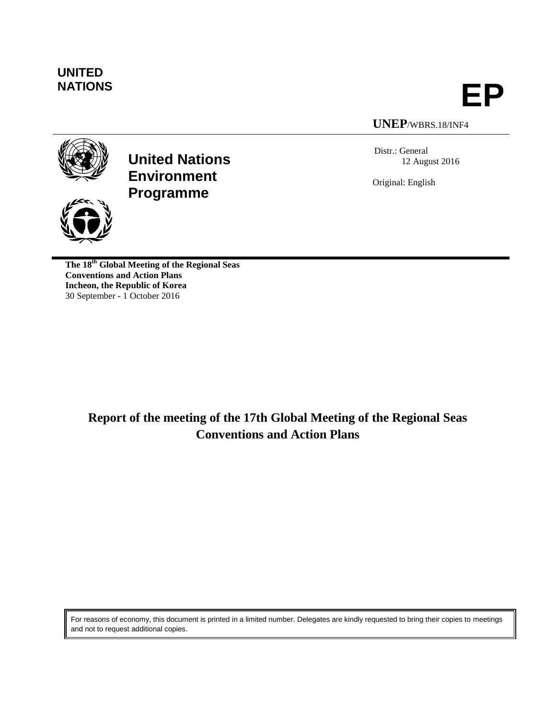

**NATIONS EP**

# **UNEP**/WBRS.18/INF4

Distr.: General 12 August 2016

Original: English



**United Nations Environment Programme**

**The 18th Global Meeting of the Regional Seas Conventions and Action Plans Incheon, the Republic of Korea** 30 September - 1 October 2016

> **Report of the meeting of the 17th Global Meeting of the Regional Seas Conventions and Action Plans**

For reasons of economy, this document is printed in a limited number. Delegates are kindly requested to bring their copies to meetings and not to request additional copies.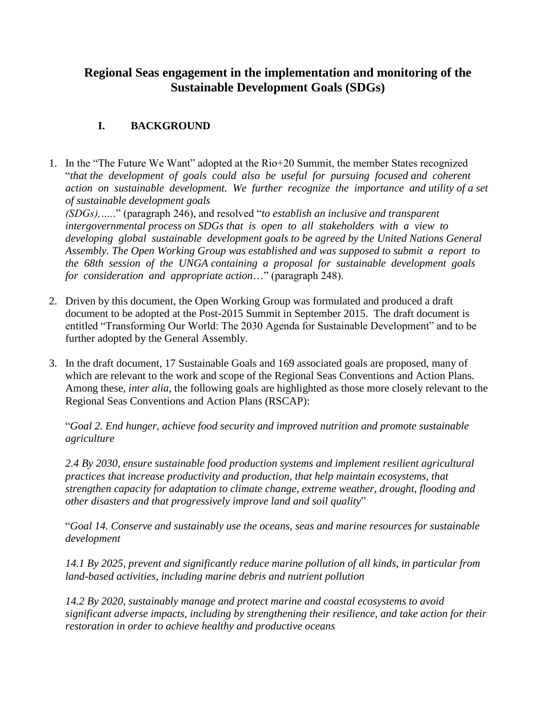# **Regional Seas engagement in the implementation and monitoring of the Sustainable Development Goals (SDGs)**

# **I. BACKGROUND**

1. In the "The Future We Want" adopted at the Rio+20 Summit, the member States recognized "*that the development of goals could also be useful for pursuing focused and coherent action on sustainable development. We further recognize the importance and utility of a set of sustainable development goals*

*(SDGs),….*." (paragraph 246), and resolved "*to establish an inclusive and transparent intergovernmental process on SDGs that is open to all stakeholders with a view to developing global sustainable development goals to be agreed by the United Nations General Assembly. The Open Working Group was established and was supposed to submit a report to the 68th session of the UNGA containing a proposal for sustainable development goals for consideration and appropriate action*…" (paragraph 248).

- 2. Driven by this document, the Open Working Group was formulated and produced a draft document to be adopted at the Post-2015 Summit in September 2015. The draft document is entitled "Transforming Our World: The 2030 Agenda for Sustainable Development" and to be further adopted by the General Assembly.
- 3. In the draft document, 17 Sustainable Goals and 169 associated goals are proposed, many of which are relevant to the work and scope of the Regional Seas Conventions and Action Plans. Among these, *inter alia*, the following goals are highlighted as those more closely relevant to the Regional Seas Conventions and Action Plans (RSCAP):

"*Goal 2. End hunger, achieve food security and improved nutrition and promote sustainable agriculture*

*2.4 By 2030, ensure sustainable food production systems and implement resilient agricultural practices that increase productivity and production, that help maintain ecosystems, that strengthen capacity for adaptation to climate change, extreme weather, drought, flooding and other disasters and that progressively improve land and soil quality*"

"*Goal 14. Conserve and sustainably use the oceans, seas and marine resources for sustainable development*

*14.1 By 2025, prevent and significantly reduce marine pollution of all kinds, in particular from land-based activities, including marine debris and nutrient pollution*

*14.2 By 2020, sustainably manage and protect marine and coastal ecosystems to avoid significant adverse impacts, including by strengthening their resilience, and take action for their restoration in order to achieve healthy and productive oceans*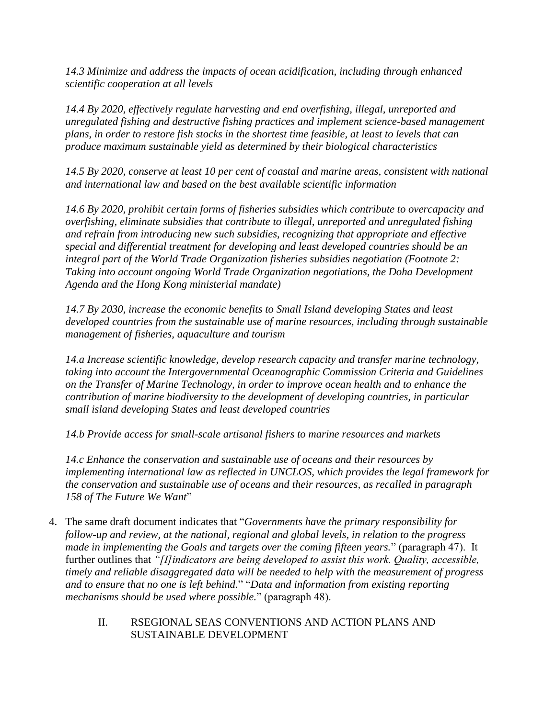*14.3 Minimize and address the impacts of ocean acidification, including through enhanced scientific cooperation at all levels*

*14.4 By 2020, effectively regulate harvesting and end overfishing, illegal, unreported and unregulated fishing and destructive fishing practices and implement science-based management plans, in order to restore fish stocks in the shortest time feasible, at least to levels that can produce maximum sustainable yield as determined by their biological characteristics*

*14.5 By 2020, conserve at least 10 per cent of coastal and marine areas, consistent with national and international law and based on the best available scientific information*

*14.6 By 2020, prohibit certain forms of fisheries subsidies which contribute to overcapacity and overfishing, eliminate subsidies that contribute to illegal, unreported and unregulated fishing and refrain from introducing new such subsidies, recognizing that appropriate and effective special and differential treatment for developing and least developed countries should be an integral part of the World Trade Organization fisheries subsidies negotiation (Footnote 2: Taking into account ongoing World Trade Organization negotiations, the Doha Development Agenda and the Hong Kong ministerial mandate)*

*14.7 By 2030, increase the economic benefits to Small Island developing States and least developed countries from the sustainable use of marine resources, including through sustainable management of fisheries, aquaculture and tourism*

*14.a Increase scientific knowledge, develop research capacity and transfer marine technology, taking into account the Intergovernmental Oceanographic Commission Criteria and Guidelines on the Transfer of Marine Technology, in order to improve ocean health and to enhance the contribution of marine biodiversity to the development of developing countries, in particular small island developing States and least developed countries*

*14.b Provide access for small-scale artisanal fishers to marine resources and markets*

*14.c Enhance the conservation and sustainable use of oceans and their resources by implementing international law as reflected in UNCLOS, which provides the legal framework for the conservation and sustainable use of oceans and their resources, as recalled in paragraph 158 of The Future We Want*"

- 4. The same draft document indicates that "*Governments have the primary responsibility for follow-up and review, at the national, regional and global levels, in relation to the progress made in implementing the Goals and targets over the coming fifteen years.*" (paragraph 47). It further outlines that "[*I]indicators are being developed to assist this work. Quality, accessible, timely and reliable disaggregated data will be needed to help with the measurement of progress and to ensure that no one is left behind.*" "*Data and information from existing reporting mechanisms should be used where possible.*" (paragraph 48).
	- II. RSEGIONAL SEAS CONVENTIONS AND ACTION PLANS AND SUSTAINABLE DEVELOPMENT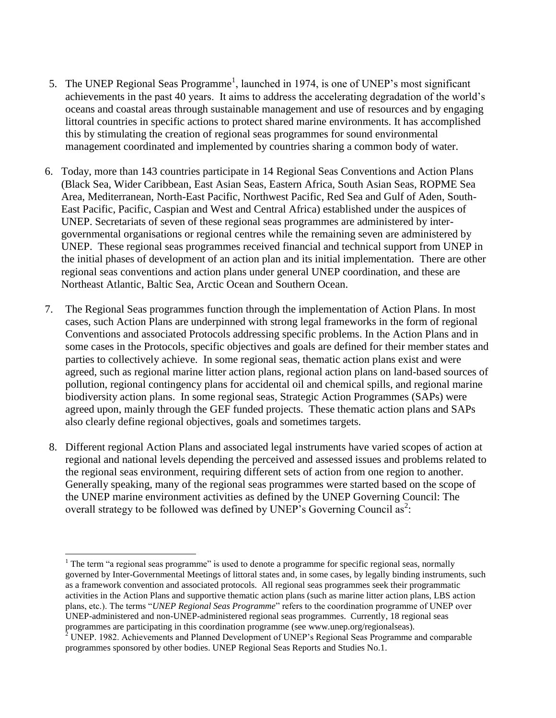- 5. The UNEP Regional Seas Programme<sup>1</sup>, launched in 1974, is one of UNEP's most significant achievements in the past 40 years. It aims to address the accelerating degradation of the world's oceans and coastal areas through sustainable management and use of resources and by engaging littoral countries in specific actions to protect shared marine environments. It has accomplished this by stimulating the creation of regional seas programmes for sound environmental management coordinated and implemented by countries sharing a common body of water.
- 6. Today, more than 143 countries participate in 14 Regional Seas Conventions and Action Plans (Black Sea, Wider Caribbean, East Asian Seas, Eastern Africa, South Asian Seas, ROPME Sea Area, Mediterranean, North-East Pacific, Northwest Pacific, Red Sea and Gulf of Aden, South-East Pacific, Pacific, Caspian and West and Central Africa) established under the auspices of UNEP. Secretariats of seven of these regional seas programmes are administered by intergovernmental organisations or regional centres while the remaining seven are administered by UNEP. These regional seas programmes received financial and technical support from UNEP in the initial phases of development of an action plan and its initial implementation. There are other regional seas conventions and action plans under general UNEP coordination, and these are Northeast Atlantic, Baltic Sea, Arctic Ocean and Southern Ocean.
- 7. The Regional Seas programmes function through the implementation of Action Plans. In most cases, such Action Plans are underpinned with strong legal frameworks in the form of regional Conventions and associated Protocols addressing specific problems. In the Action Plans and in some cases in the Protocols, specific objectives and goals are defined for their member states and parties to collectively achieve. In some regional seas, thematic action plans exist and were agreed, such as regional marine litter action plans, regional action plans on land-based sources of pollution, regional contingency plans for accidental oil and chemical spills, and regional marine biodiversity action plans. In some regional seas, Strategic Action Programmes (SAPs) were agreed upon, mainly through the GEF funded projects. These thematic action plans and SAPs also clearly define regional objectives, goals and sometimes targets.
- 8. Different regional Action Plans and associated legal instruments have varied scopes of action at regional and national levels depending the perceived and assessed issues and problems related to the regional seas environment, requiring different sets of action from one region to another. Generally speaking, many of the regional seas programmes were started based on the scope of the UNEP marine environment activities as defined by the UNEP Governing Council: The overall strategy to be followed was defined by UNEP's Governing Council as<sup>2</sup>:

 $\overline{\phantom{a}}$  $1$  The term "a regional seas programme" is used to denote a programme for specific regional seas, normally governed by Inter-Governmental Meetings of littoral states and, in some cases, by legally binding instruments, such as a framework convention and associated protocols. All regional seas programmes seek their programmatic activities in the Action Plans and supportive thematic action plans (such as marine litter action plans, LBS action plans, etc.). The terms "*UNEP Regional Seas Programme*" refers to the coordination programme of UNEP over UNEP-administered and non-UNEP-administered regional seas programmes. Currently, 18 regional seas programmes are participating in this coordination programme (see www.unep.org/regionalseas).

 $2$  UNEP. 1982. Achievements and Planned Development of UNEP's Regional Seas Programme and comparable programmes sponsored by other bodies. UNEP Regional Seas Reports and Studies No.1.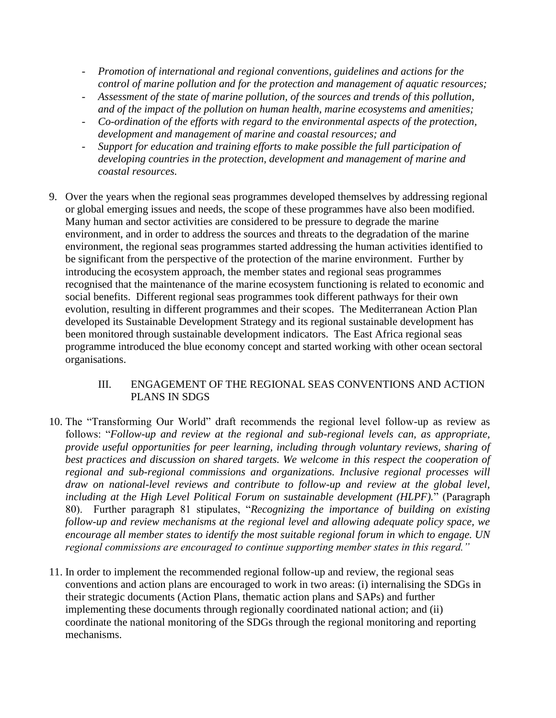- *Promotion of international and regional conventions, guidelines and actions for the control of marine pollution and for the protection and management of aquatic resources;*
- *Assessment of the state of marine pollution, of the sources and trends of this pollution, and of the impact of the pollution on human health, marine ecosystems and amenities;*
- *Co-ordination of the efforts with regard to the environmental aspects of the protection, development and management of marine and coastal resources; and*
- *Support for education and training efforts to make possible the full participation of developing countries in the protection, development and management of marine and coastal resources.*
- 9. Over the years when the regional seas programmes developed themselves by addressing regional or global emerging issues and needs, the scope of these programmes have also been modified. Many human and sector activities are considered to be pressure to degrade the marine environment, and in order to address the sources and threats to the degradation of the marine environment, the regional seas programmes started addressing the human activities identified to be significant from the perspective of the protection of the marine environment. Further by introducing the ecosystem approach, the member states and regional seas programmes recognised that the maintenance of the marine ecosystem functioning is related to economic and social benefits. Different regional seas programmes took different pathways for their own evolution, resulting in different programmes and their scopes. The Mediterranean Action Plan developed its Sustainable Development Strategy and its regional sustainable development has been monitored through sustainable development indicators. The East Africa regional seas programme introduced the blue economy concept and started working with other ocean sectoral organisations.

# III. ENGAGEMENT OF THE REGIONAL SEAS CONVENTIONS AND ACTION PLANS IN SDGS

- 10. The "Transforming Our World" draft recommends the regional level follow-up as review as follows: "*Follow-up and review at the regional and sub-regional levels can, as appropriate, provide useful opportunities for peer learning, including through voluntary reviews, sharing of best practices and discussion on shared targets. We welcome in this respect the cooperation of regional and sub-regional commissions and organizations. Inclusive regional processes will draw on national-level reviews and contribute to follow-up and review at the global level, including at the High Level Political Forum on sustainable development (HLPF).*" (Paragraph 80). Further paragraph 81 stipulates, "*Recognizing the importance of building on existing follow-up and review mechanisms at the regional level and allowing adequate policy space, we encourage all member states to identify the most suitable regional forum in which to engage. UN regional commissions are encouraged to continue supporting member states in this regard."*
- 11. In order to implement the recommended regional follow-up and review, the regional seas conventions and action plans are encouraged to work in two areas: (i) internalising the SDGs in their strategic documents (Action Plans, thematic action plans and SAPs) and further implementing these documents through regionally coordinated national action; and (ii) coordinate the national monitoring of the SDGs through the regional monitoring and reporting mechanisms.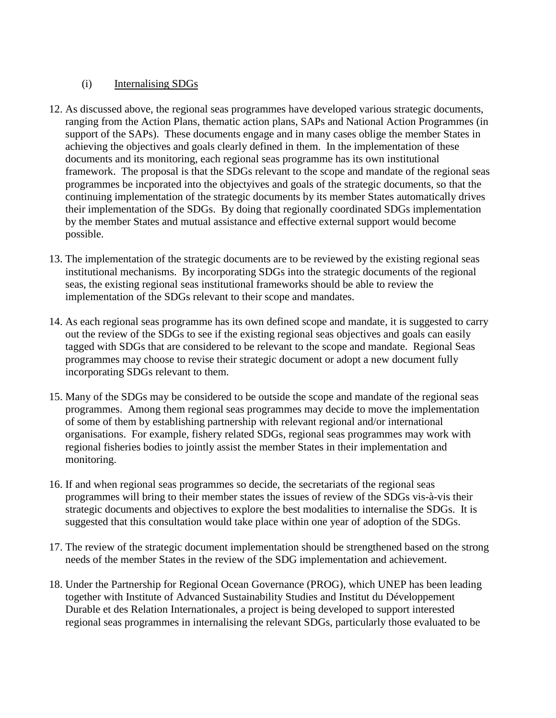# (i) Internalising SDGs

- 12. As discussed above, the regional seas programmes have developed various strategic documents, ranging from the Action Plans, thematic action plans, SAPs and National Action Programmes (in support of the SAPs). These documents engage and in many cases oblige the member States in achieving the objectives and goals clearly defined in them. In the implementation of these documents and its monitoring, each regional seas programme has its own institutional framework. The proposal is that the SDGs relevant to the scope and mandate of the regional seas programmes be incporated into the objectyives and goals of the strategic documents, so that the continuing implementation of the strategic documents by its member States automatically drives their implementation of the SDGs. By doing that regionally coordinated SDGs implementation by the member States and mutual assistance and effective external support would become possible.
- 13. The implementation of the strategic documents are to be reviewed by the existing regional seas institutional mechanisms. By incorporating SDGs into the strategic documents of the regional seas, the existing regional seas institutional frameworks should be able to review the implementation of the SDGs relevant to their scope and mandates.
- 14. As each regional seas programme has its own defined scope and mandate, it is suggested to carry out the review of the SDGs to see if the existing regional seas objectives and goals can easily tagged with SDGs that are considered to be relevant to the scope and mandate. Regional Seas programmes may choose to revise their strategic document or adopt a new document fully incorporating SDGs relevant to them.
- 15. Many of the SDGs may be considered to be outside the scope and mandate of the regional seas programmes. Among them regional seas programmes may decide to move the implementation of some of them by establishing partnership with relevant regional and/or international organisations. For example, fishery related SDGs, regional seas programmes may work with regional fisheries bodies to jointly assist the member States in their implementation and monitoring.
- 16. If and when regional seas programmes so decide, the secretariats of the regional seas programmes will bring to their member states the issues of review of the SDGs vis-à-vis their strategic documents and objectives to explore the best modalities to internalise the SDGs. It is suggested that this consultation would take place within one year of adoption of the SDGs.
- 17. The review of the strategic document implementation should be strengthened based on the strong needs of the member States in the review of the SDG implementation and achievement.
- 18. Under the Partnership for Regional Ocean Governance (PROG), which UNEP has been leading together with Institute of Advanced Sustainability Studies and Institut du Développement Durable et des Relation Internationales, a project is being developed to support interested regional seas programmes in internalising the relevant SDGs, particularly those evaluated to be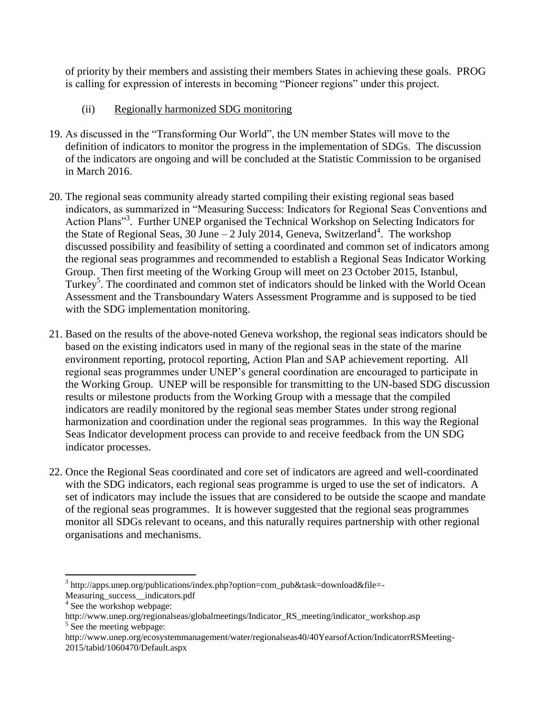of priority by their members and assisting their members States in achieving these goals. PROG is calling for expression of interests in becoming "Pioneer regions" under this project.

- (ii) Regionally harmonized SDG monitoring
- 19. As discussed in the "Transforming Our World", the UN member States will move to the definition of indicators to monitor the progress in the implementation of SDGs. The discussion of the indicators are ongoing and will be concluded at the Statistic Commission to be organised in March 2016.
- 20. The regional seas community already started compiling their existing regional seas based indicators, as summarized in "Measuring Success: Indicators for Regional Seas Conventions and Action Plans"<sup>3</sup>. Further UNEP organised the Technical Workshop on Selecting Indicators for the State of Regional Seas, 30 June  $-2$  July 2014, Geneva, Switzerland<sup>4</sup>. The workshop discussed possibility and feasibility of setting a coordinated and common set of indicators among the regional seas programmes and recommended to establish a Regional Seas Indicator Working Group. Then first meeting of the Working Group will meet on 23 October 2015, Istanbul, Turkey<sup>5</sup>. The coordinated and common stet of indicators should be linked with the World Ocean Assessment and the Transboundary Waters Assessment Programme and is supposed to be tied with the SDG implementation monitoring.
- 21. Based on the results of the above-noted Geneva workshop, the regional seas indicators should be based on the existing indicators used in many of the regional seas in the state of the marine environment reporting, protocol reporting, Action Plan and SAP achievement reporting. All regional seas programmes under UNEP's general coordination are encouraged to participate in the Working Group. UNEP will be responsible for transmitting to the UN-based SDG discussion results or milestone products from the Working Group with a message that the compiled indicators are readily monitored by the regional seas member States under strong regional harmonization and coordination under the regional seas programmes. In this way the Regional Seas Indicator development process can provide to and receive feedback from the UN SDG indicator processes.
- 22. Once the Regional Seas coordinated and core set of indicators are agreed and well-coordinated with the SDG indicators, each regional seas programme is urged to use the set of indicators. A set of indicators may include the issues that are considered to be outside the scaope and mandate of the regional seas programmes. It is however suggested that the regional seas programmes monitor all SDGs relevant to oceans, and this naturally requires partnership with other regional organisations and mechanisms.

 $\overline{\phantom{a}}$ 

<sup>&</sup>lt;sup>3</sup> http://apps.unep.org/publications/index.php?option=com\_pub&task=download&file=-

Measuring success indicators.pdf

<sup>4</sup> See the workshop webpage:

http://www.unep.org/regionalseas/globalmeetings/Indicator\_RS\_meeting/indicator\_workshop.asp <sup>5</sup> See the meeting webpage:

http://www.unep.org/ecosystemmanagement/water/regionalseas40/40YearsofAction/IndicatorrRSMeeting-2015/tabid/1060470/Default.aspx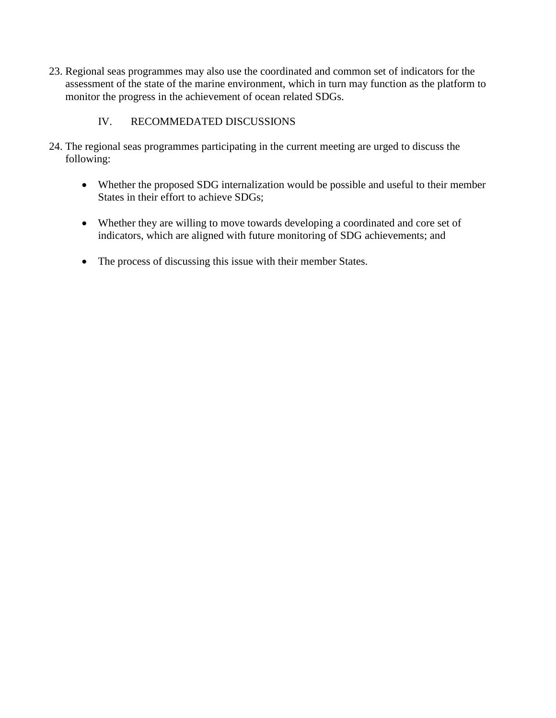23. Regional seas programmes may also use the coordinated and common set of indicators for the assessment of the state of the marine environment, which in turn may function as the platform to monitor the progress in the achievement of ocean related SDGs.

# IV. RECOMMEDATED DISCUSSIONS

- 24. The regional seas programmes participating in the current meeting are urged to discuss the following:
	- Whether the proposed SDG internalization would be possible and useful to their member States in their effort to achieve SDGs;
	- Whether they are willing to move towards developing a coordinated and core set of indicators, which are aligned with future monitoring of SDG achievements; and
	- The process of discussing this issue with their member States.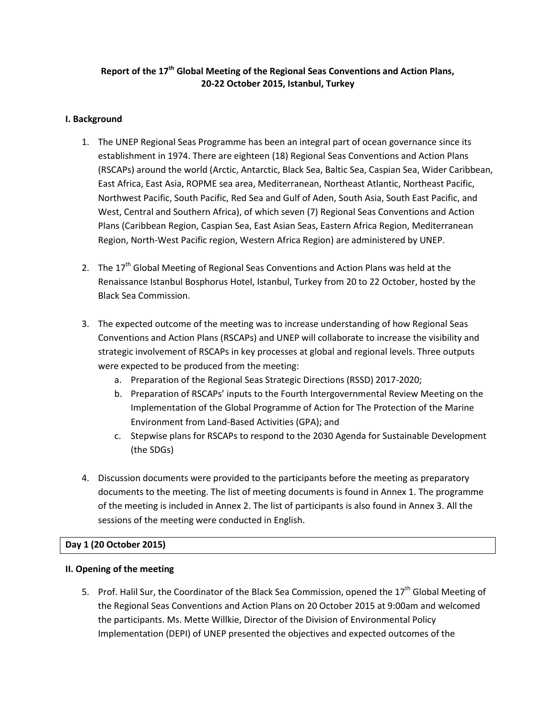# **Report of the 17th Global Meeting of the Regional Seas Conventions and Action Plans, 20-22 October 2015, Istanbul, Turkey**

## **I. Background**

- 1. The UNEP Regional Seas Programme has been an integral part of ocean governance since its establishment in 1974. There are eighteen (18) Regional Seas Conventions and Action Plans (RSCAPs) around the world (Arctic, Antarctic, Black Sea, Baltic Sea, Caspian Sea, Wider Caribbean, East Africa, East Asia, ROPME sea area, Mediterranean, Northeast Atlantic, Northeast Pacific, Northwest Pacific, South Pacific, Red Sea and Gulf of Aden, South Asia, South East Pacific, and West, Central and Southern Africa), of which seven (7) Regional Seas Conventions and Action Plans (Caribbean Region, Caspian Sea, East Asian Seas, Eastern Africa Region, Mediterranean Region, North-West Pacific region, Western Africa Region) are administered by UNEP.
- 2. The  $17<sup>th</sup>$  Global Meeting of Regional Seas Conventions and Action Plans was held at the Renaissance Istanbul Bosphorus Hotel, Istanbul, Turkey from 20 to 22 October, hosted by the Black Sea Commission.
- 3. The expected outcome of the meeting was to increase understanding of how Regional Seas Conventions and Action Plans (RSCAPs) and UNEP will collaborate to increase the visibility and strategic involvement of RSCAPs in key processes at global and regional levels. Three outputs were expected to be produced from the meeting:
	- a. Preparation of the Regional Seas Strategic Directions (RSSD) 2017-2020;
	- b. Preparation of RSCAPs' inputs to the Fourth Intergovernmental Review Meeting on the Implementation of the Global Programme of Action for The Protection of the Marine Environment from Land-Based Activities (GPA); and
	- c. Stepwise plans for RSCAPs to respond to the 2030 Agenda for Sustainable Development (the SDGs)
- 4. Discussion documents were provided to the participants before the meeting as preparatory documents to the meeting. The list of meeting documents is found in Annex 1. The programme of the meeting is included in Annex 2. The list of participants is also found in Annex 3. All the sessions of the meeting were conducted in English.

# **Day 1 (20 October 2015)**

## **II. Opening of the meeting**

5. Prof. Halil Sur, the Coordinator of the Black Sea Commission, opened the 17<sup>th</sup> Global Meeting of the Regional Seas Conventions and Action Plans on 20 October 2015 at 9:00am and welcomed the participants. Ms. Mette Willkie, Director of the Division of Environmental Policy Implementation (DEPI) of UNEP presented the objectives and expected outcomes of the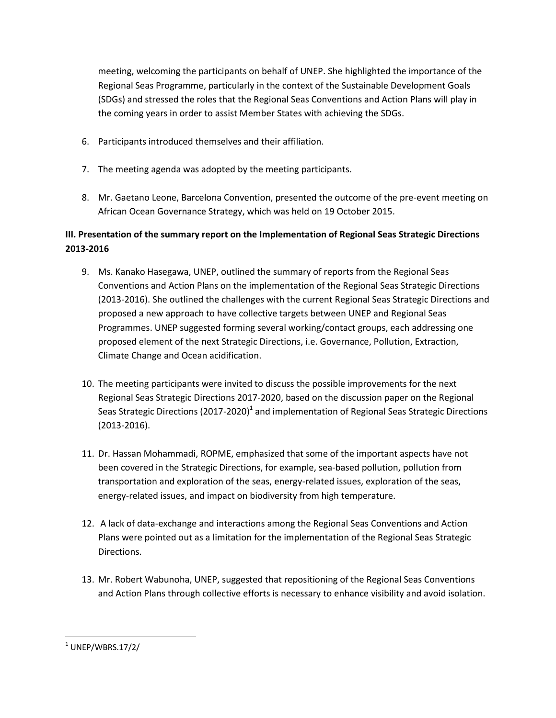meeting, welcoming the participants on behalf of UNEP. She highlighted the importance of the Regional Seas Programme, particularly in the context of the Sustainable Development Goals (SDGs) and stressed the roles that the Regional Seas Conventions and Action Plans will play in the coming years in order to assist Member States with achieving the SDGs.

- 6. Participants introduced themselves and their affiliation.
- 7. The meeting agenda was adopted by the meeting participants.
- 8. Mr. Gaetano Leone, Barcelona Convention, presented the outcome of the pre-event meeting on African Ocean Governance Strategy, which was held on 19 October 2015.

# **III. Presentation of the summary report on the Implementation of Regional Seas Strategic Directions 2013-2016**

- 9. Ms. Kanako Hasegawa, UNEP, outlined the summary of reports from the Regional Seas Conventions and Action Plans on the implementation of the Regional Seas Strategic Directions (2013-2016). She outlined the challenges with the current Regional Seas Strategic Directions and proposed a new approach to have collective targets between UNEP and Regional Seas Programmes. UNEP suggested forming several working/contact groups, each addressing one proposed element of the next Strategic Directions, i.e. Governance, Pollution, Extraction, Climate Change and Ocean acidification.
- 10. The meeting participants were invited to discuss the possible improvements for the next Regional Seas Strategic Directions 2017-2020, based on the discussion paper on the Regional Seas Strategic Directions (2017-2020)<sup>1</sup> and implementation of Regional Seas Strategic Directions (2013-2016).
- 11. Dr. Hassan Mohammadi, ROPME, emphasized that some of the important aspects have not been covered in the Strategic Directions, for example, sea-based pollution, pollution from transportation and exploration of the seas, energy-related issues, exploration of the seas, energy-related issues, and impact on biodiversity from high temperature.
- 12. A lack of data-exchange and interactions among the Regional Seas Conventions and Action Plans were pointed out as a limitation for the implementation of the Regional Seas Strategic Directions.
- 13. Mr. Robert Wabunoha, UNEP, suggested that repositioning of the Regional Seas Conventions and Action Plans through collective efforts is necessary to enhance visibility and avoid isolation.

 $\overline{\phantom{a}}$  $^1$  UNEP/WBRS.17/2/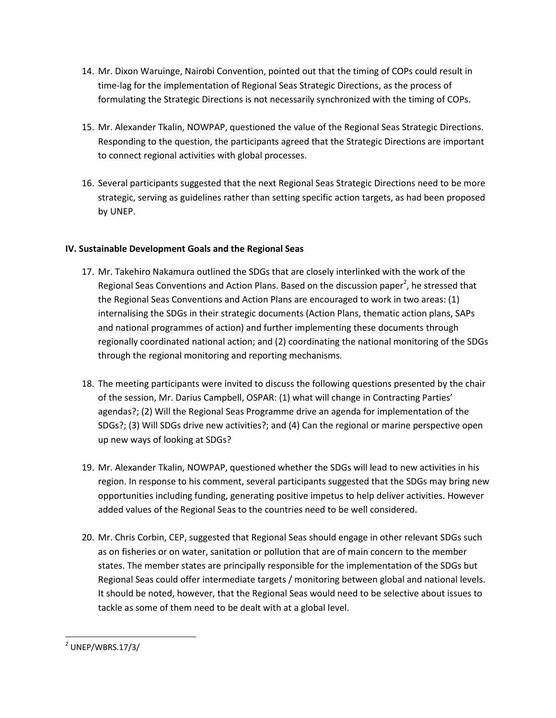- 14. Mr. Dixon Waruinge, Nairobi Convention, pointed out that the timing of COPs could result in time-lag for the implementation of Regional Seas Strategic Directions, as the process of formulating the Strategic Directions is not necessarily synchronized with the timing of COPs.
- 15. Mr. Alexander Tkalin, NOWPAP, questioned the value of the Regional Seas Strategic Directions. Responding to the question, the participants agreed that the Strategic Directions are important to connect regional activities with global processes.
- 16. Several participants suggested that the next Regional Seas Strategic Directions need to be more strategic, serving as guidelines rather than setting specific action targets, as had been proposed by UNEP.

# **IV. Sustainable Development Goals and the Regional Seas**

- 17. Mr. Takehiro Nakamura outlined the SDGs that are closely interlinked with the work of the Regional Seas Conventions and Action Plans. Based on the discussion paper<sup>2</sup>, he stressed that the Regional Seas Conventions and Action Plans are encouraged to work in two areas: (1) internalising the SDGs in their strategic documents (Action Plans, thematic action plans, SAPs and national programmes of action) and further implementing these documents through regionally coordinated national action; and (2) coordinating the national monitoring of the SDGs through the regional monitoring and reporting mechanisms.
- 18. The meeting participants were invited to discuss the following questions presented by the chair of the session, Mr. Darius Campbell, OSPAR: (1) what will change in Contracting Parties' agendas?; (2) Will the Regional Seas Programme drive an agenda for implementation of the SDGs?; (3) Will SDGs drive new activities?; and (4) Can the regional or marine perspective open up new ways of looking at SDGs?
- 19. Mr. Alexander Tkalin, NOWPAP, questioned whether the SDGs will lead to new activities in his region. In response to his comment, several participants suggested that the SDGs may bring new opportunities including funding, generating positive impetus to help deliver activities. However added values of the Regional Seas to the countries need to be well considered.
- 20. Mr. Chris Corbin, CEP, suggested that Regional Seas should engage in other relevant SDGs such as on fisheries or on water, sanitation or pollution that are of main concern to the member states. The member states are principally responsible for the implementation of the SDGs but Regional Seas could offer intermediate targets / monitoring between global and national levels. It should be noted, however, that the Regional Seas would need to be selective about issues to tackle as some of them need to be dealt with at a global level.

 $\overline{\phantom{a}}$  $2$  UNEP/WBRS.17/3/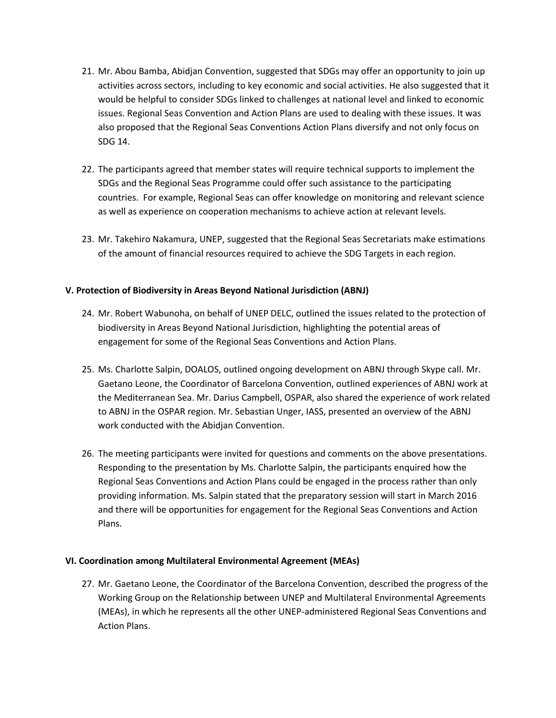- 21. Mr. Abou Bamba, Abidjan Convention, suggested that SDGs may offer an opportunity to join up activities across sectors, including to key economic and social activities. He also suggested that it would be helpful to consider SDGs linked to challenges at national level and linked to economic issues. Regional Seas Convention and Action Plans are used to dealing with these issues. It was also proposed that the Regional Seas Conventions Action Plans diversify and not only focus on SDG 14.
- 22. The participants agreed that member states will require technical supports to implement the SDGs and the Regional Seas Programme could offer such assistance to the participating countries. For example, Regional Seas can offer knowledge on monitoring and relevant science as well as experience on cooperation mechanisms to achieve action at relevant levels.
- 23. Mr. Takehiro Nakamura, UNEP, suggested that the Regional Seas Secretariats make estimations of the amount of financial resources required to achieve the SDG Targets in each region.

## **V. Protection of Biodiversity in Areas Beyond National Jurisdiction (ABNJ)**

- 24. Mr. Robert Wabunoha, on behalf of UNEP DELC, outlined the issues related to the protection of biodiversity in Areas Beyond National Jurisdiction, highlighting the potential areas of engagement for some of the Regional Seas Conventions and Action Plans.
- 25. Ms. Charlotte Salpin, DOALOS, outlined ongoing development on ABNJ through Skype call. Mr. Gaetano Leone, the Coordinator of Barcelona Convention, outlined experiences of ABNJ work at the Mediterranean Sea. Mr. Darius Campbell, OSPAR, also shared the experience of work related to ABNJ in the OSPAR region. Mr. Sebastian Unger, IASS, presented an overview of the ABNJ work conducted with the Abidjan Convention.
- 26. The meeting participants were invited for questions and comments on the above presentations. Responding to the presentation by Ms. Charlotte Salpin, the participants enquired how the Regional Seas Conventions and Action Plans could be engaged in the process rather than only providing information. Ms. Salpin stated that the preparatory session will start in March 2016 and there will be opportunities for engagement for the Regional Seas Conventions and Action Plans.

## **VI. Coordination among Multilateral Environmental Agreement (MEAs)**

27. Mr. Gaetano Leone, the Coordinator of the Barcelona Convention, described the progress of the Working Group on the Relationship between UNEP and Multilateral Environmental Agreements (MEAs), in which he represents all the other UNEP-administered Regional Seas Conventions and Action Plans.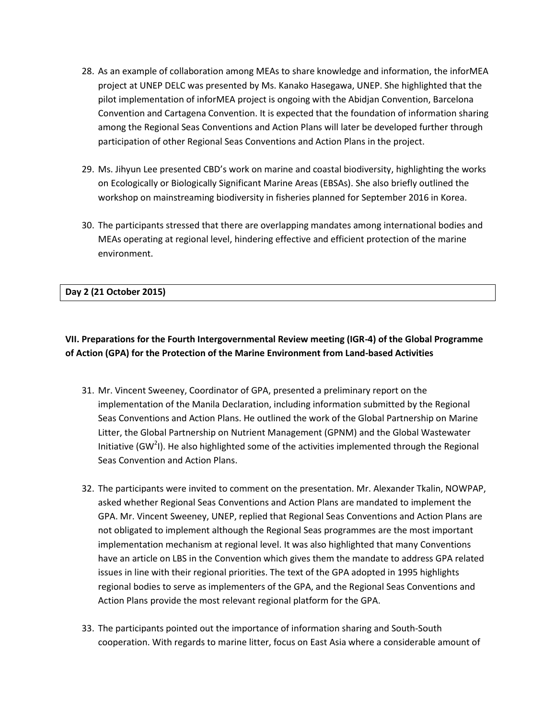- 28. As an example of collaboration among MEAs to share knowledge and information, the inforMEA project at UNEP DELC was presented by Ms. Kanako Hasegawa, UNEP. She highlighted that the pilot implementation of inforMEA project is ongoing with the Abidjan Convention, Barcelona Convention and Cartagena Convention. It is expected that the foundation of information sharing among the Regional Seas Conventions and Action Plans will later be developed further through participation of other Regional Seas Conventions and Action Plans in the project.
- 29. Ms. Jihyun Lee presented CBD's work on marine and coastal biodiversity, highlighting the works on Ecologically or Biologically Significant Marine Areas (EBSAs). She also briefly outlined the workshop on mainstreaming biodiversity in fisheries planned for September 2016 in Korea.
- 30. The participants stressed that there are overlapping mandates among international bodies and MEAs operating at regional level, hindering effective and efficient protection of the marine environment.

## **Day 2 (21 October 2015)**

# **VII. Preparations for the Fourth Intergovernmental Review meeting (IGR-4) of the Global Programme of Action (GPA) for the Protection of the Marine Environment from Land-based Activities**

- 31. Mr. Vincent Sweeney, Coordinator of GPA, presented a preliminary report on the implementation of the Manila Declaration, including information submitted by the Regional Seas Conventions and Action Plans. He outlined the work of the Global Partnership on Marine Litter, the Global Partnership on Nutrient Management (GPNM) and the Global Wastewater Initiative (GW<sup>2</sup>I). He also highlighted some of the activities implemented through the Regional Seas Convention and Action Plans.
- 32. The participants were invited to comment on the presentation. Mr. Alexander Tkalin, NOWPAP, asked whether Regional Seas Conventions and Action Plans are mandated to implement the GPA. Mr. Vincent Sweeney, UNEP, replied that Regional Seas Conventions and Action Plans are not obligated to implement although the Regional Seas programmes are the most important implementation mechanism at regional level. It was also highlighted that many Conventions have an article on LBS in the Convention which gives them the mandate to address GPA related issues in line with their regional priorities. The text of the GPA adopted in 1995 highlights regional bodies to serve as implementers of the GPA, and the Regional Seas Conventions and Action Plans provide the most relevant regional platform for the GPA.
- 33. The participants pointed out the importance of information sharing and South-South cooperation. With regards to marine litter, focus on East Asia where a considerable amount of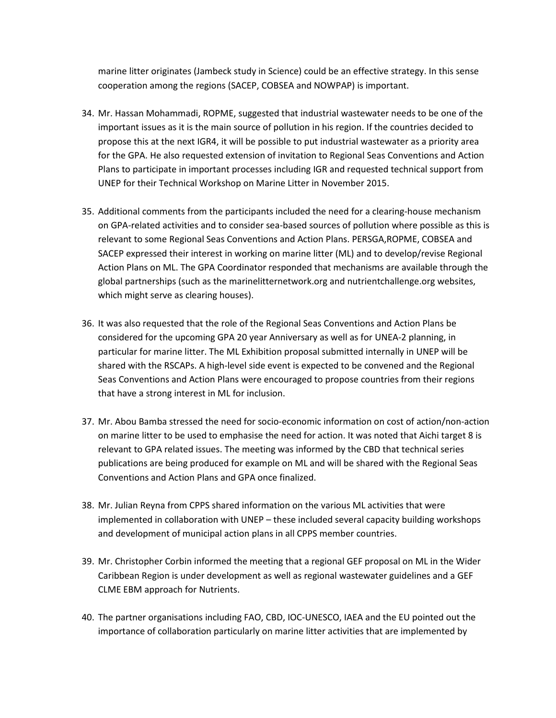marine litter originates (Jambeck study in Science) could be an effective strategy. In this sense cooperation among the regions (SACEP, COBSEA and NOWPAP) is important.

- 34. Mr. Hassan Mohammadi, ROPME, suggested that industrial wastewater needs to be one of the important issues as it is the main source of pollution in his region. If the countries decided to propose this at the next IGR4, it will be possible to put industrial wastewater as a priority area for the GPA. He also requested extension of invitation to Regional Seas Conventions and Action Plans to participate in important processes including IGR and requested technical support from UNEP for their Technical Workshop on Marine Litter in November 2015.
- 35. Additional comments from the participants included the need for a clearing-house mechanism on GPA-related activities and to consider sea-based sources of pollution where possible as this is relevant to some Regional Seas Conventions and Action Plans. PERSGA,ROPME, COBSEA and SACEP expressed their interest in working on marine litter (ML) and to develop/revise Regional Action Plans on ML. The GPA Coordinator responded that mechanisms are available through the global partnerships (such as the marinelitternetwork.org and nutrientchallenge.org websites, which might serve as clearing houses).
- 36. It was also requested that the role of the Regional Seas Conventions and Action Plans be considered for the upcoming GPA 20 year Anniversary as well as for UNEA-2 planning, in particular for marine litter. The ML Exhibition proposal submitted internally in UNEP will be shared with the RSCAPs. A high-level side event is expected to be convened and the Regional Seas Conventions and Action Plans were encouraged to propose countries from their regions that have a strong interest in ML for inclusion.
- 37. Mr. Abou Bamba stressed the need for socio-economic information on cost of action/non-action on marine litter to be used to emphasise the need for action. It was noted that Aichi target 8 is relevant to GPA related issues. The meeting was informed by the CBD that technical series publications are being produced for example on ML and will be shared with the Regional Seas Conventions and Action Plans and GPA once finalized.
- 38. Mr. Julian Reyna from CPPS shared information on the various ML activities that were implemented in collaboration with UNEP – these included several capacity building workshops and development of municipal action plans in all CPPS member countries.
- 39. Mr. Christopher Corbin informed the meeting that a regional GEF proposal on ML in the Wider Caribbean Region is under development as well as regional wastewater guidelines and a GEF CLME EBM approach for Nutrients.
- 40. The partner organisations including FAO, CBD, IOC-UNESCO, IAEA and the EU pointed out the importance of collaboration particularly on marine litter activities that are implemented by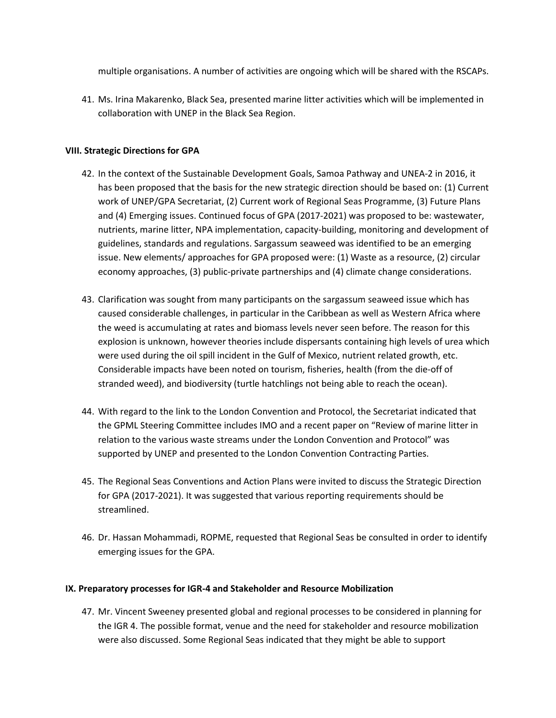multiple organisations. A number of activities are ongoing which will be shared with the RSCAPs.

41. Ms. Irina Makarenko, Black Sea, presented marine litter activities which will be implemented in collaboration with UNEP in the Black Sea Region.

### **VIII. Strategic Directions for GPA**

- 42. In the context of the Sustainable Development Goals, Samoa Pathway and UNEA-2 in 2016, it has been proposed that the basis for the new strategic direction should be based on: (1) Current work of UNEP/GPA Secretariat, (2) Current work of Regional Seas Programme, (3) Future Plans and (4) Emerging issues. Continued focus of GPA (2017-2021) was proposed to be: wastewater, nutrients, marine litter, NPA implementation, capacity-building, monitoring and development of guidelines, standards and regulations. Sargassum seaweed was identified to be an emerging issue. New elements/ approaches for GPA proposed were: (1) Waste as a resource, (2) circular economy approaches, (3) public-private partnerships and (4) climate change considerations.
- 43. Clarification was sought from many participants on the sargassum seaweed issue which has caused considerable challenges, in particular in the Caribbean as well as Western Africa where the weed is accumulating at rates and biomass levels never seen before. The reason for this explosion is unknown, however theories include dispersants containing high levels of urea which were used during the oil spill incident in the Gulf of Mexico, nutrient related growth, etc. Considerable impacts have been noted on tourism, fisheries, health (from the die-off of stranded weed), and biodiversity (turtle hatchlings not being able to reach the ocean).
- 44. With regard to the link to the London Convention and Protocol, the Secretariat indicated that the GPML Steering Committee includes IMO and a recent paper on "Review of marine litter in relation to the various waste streams under the London Convention and Protocol" was supported by UNEP and presented to the London Convention Contracting Parties.
- 45. The Regional Seas Conventions and Action Plans were invited to discuss the Strategic Direction for GPA (2017-2021). It was suggested that various reporting requirements should be streamlined.
- 46. Dr. Hassan Mohammadi, ROPME, requested that Regional Seas be consulted in order to identify emerging issues for the GPA.

## **IX. Preparatory processes for IGR-4 and Stakeholder and Resource Mobilization**

47. Mr. Vincent Sweeney presented global and regional processes to be considered in planning for the IGR 4. The possible format, venue and the need for stakeholder and resource mobilization were also discussed. Some Regional Seas indicated that they might be able to support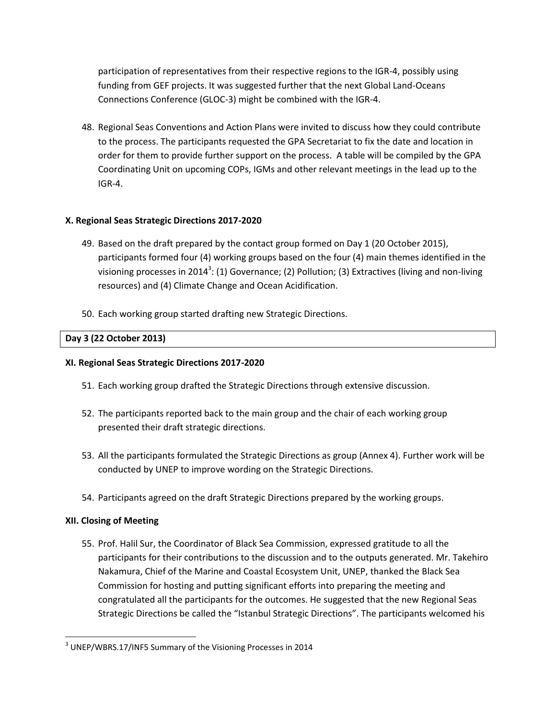participation of representatives from their respective regions to the IGR-4, possibly using funding from GEF projects. It was suggested further that the next Global Land-Oceans Connections Conference (GLOC-3) might be combined with the IGR-4.

48. Regional Seas Conventions and Action Plans were invited to discuss how they could contribute to the process. The participants requested the GPA Secretariat to fix the date and location in order for them to provide further support on the process. A table will be compiled by the GPA Coordinating Unit on upcoming COPs, IGMs and other relevant meetings in the lead up to the IGR-4.

# **X. Regional Seas Strategic Directions 2017-2020**

- 49. Based on the draft prepared by the contact group formed on Day 1 (20 October 2015), participants formed four (4) working groups based on the four (4) main themes identified in the visioning processes in 2014<sup>3</sup>: (1) Governance; (2) Pollution; (3) Extractives (living and non-living resources) and (4) Climate Change and Ocean Acidification.
- 50. Each working group started drafting new Strategic Directions.

# **Day 3 (22 October 2013)**

## **XI. Regional Seas Strategic Directions 2017-2020**

- 51. Each working group drafted the Strategic Directions through extensive discussion.
- 52. The participants reported back to the main group and the chair of each working group presented their draft strategic directions.
- 53. All the participants formulated the Strategic Directions as group (Annex 4). Further work will be conducted by UNEP to improve wording on the Strategic Directions.
- 54. Participants agreed on the draft Strategic Directions prepared by the working groups.

## **XII. Closing of Meeting**

 $\overline{\phantom{a}}$ 

55. Prof. Halil Sur, the Coordinator of Black Sea Commission, expressed gratitude to all the participants for their contributions to the discussion and to the outputs generated. Mr. Takehiro Nakamura, Chief of the Marine and Coastal Ecosystem Unit, UNEP, thanked the Black Sea Commission for hosting and putting significant efforts into preparing the meeting and congratulated all the participants for the outcomes. He suggested that the new Regional Seas Strategic Directions be called the "Istanbul Strategic Directions". The participants welcomed his

 $3$  UNEP/WBRS.17/INF5 Summary of the Visioning Processes in 2014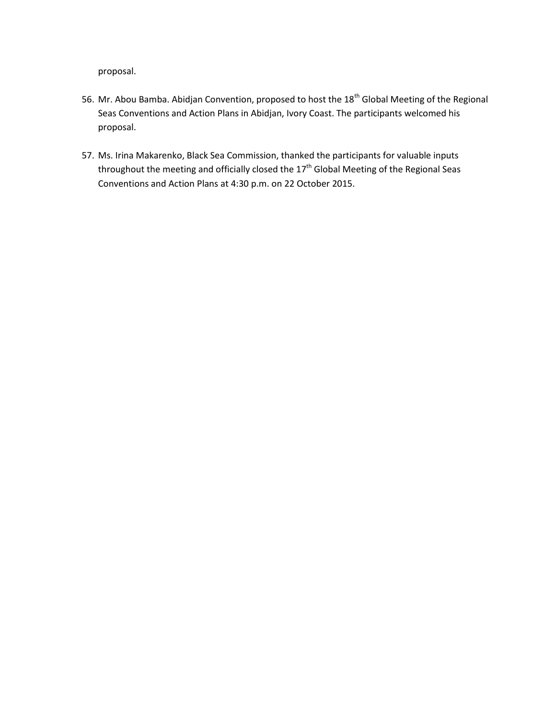proposal.

- 56. Mr. Abou Bamba. Abidjan Convention, proposed to host the 18<sup>th</sup> Global Meeting of the Regional Seas Conventions and Action Plans in Abidjan, Ivory Coast. The participants welcomed his proposal.
- 57. Ms. Irina Makarenko, Black Sea Commission, thanked the participants for valuable inputs throughout the meeting and officially closed the  $17<sup>th</sup>$  Global Meeting of the Regional Seas Conventions and Action Plans at 4:30 p.m. on 22 October 2015.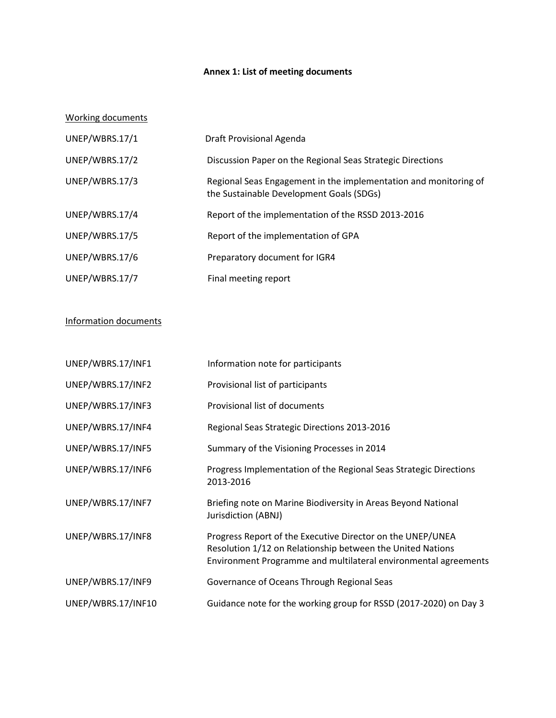# **Annex 1: List of meeting documents**

### Working documents

| UNEP/WBRS.17/1 | Draft Provisional Agenda                                                                                     |
|----------------|--------------------------------------------------------------------------------------------------------------|
| UNEP/WBRS.17/2 | Discussion Paper on the Regional Seas Strategic Directions                                                   |
| UNEP/WBRS.17/3 | Regional Seas Engagement in the implementation and monitoring of<br>the Sustainable Development Goals (SDGs) |
| UNEP/WBRS.17/4 | Report of the implementation of the RSSD 2013-2016                                                           |
| UNEP/WBRS.17/5 | Report of the implementation of GPA                                                                          |
| UNEP/WBRS.17/6 | Preparatory document for IGR4                                                                                |
| UNEP/WBRS.17/7 | Final meeting report                                                                                         |

# Information documents

| UNEP/WBRS.17/INF1  | Information note for participants                                                                                                                                                           |
|--------------------|---------------------------------------------------------------------------------------------------------------------------------------------------------------------------------------------|
| UNEP/WBRS.17/INF2  | Provisional list of participants                                                                                                                                                            |
| UNEP/WBRS.17/INF3  | Provisional list of documents                                                                                                                                                               |
| UNEP/WBRS.17/INF4  | Regional Seas Strategic Directions 2013-2016                                                                                                                                                |
| UNEP/WBRS.17/INF5  | Summary of the Visioning Processes in 2014                                                                                                                                                  |
| UNEP/WBRS.17/INF6  | Progress Implementation of the Regional Seas Strategic Directions<br>2013-2016                                                                                                              |
| UNEP/WBRS.17/INF7  | Briefing note on Marine Biodiversity in Areas Beyond National<br>Jurisdiction (ABNJ)                                                                                                        |
| UNEP/WBRS.17/INF8  | Progress Report of the Executive Director on the UNEP/UNEA<br>Resolution 1/12 on Relationship between the United Nations<br>Environment Programme and multilateral environmental agreements |
| UNEP/WBRS.17/INF9  | Governance of Oceans Through Regional Seas                                                                                                                                                  |
| UNEP/WBRS.17/INF10 | Guidance note for the working group for RSSD (2017-2020) on Day 3                                                                                                                           |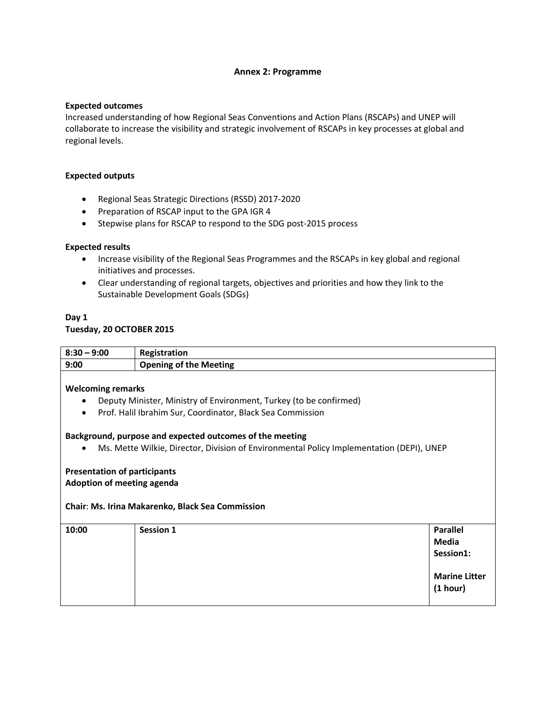#### **Annex 2: Programme**

#### **Expected outcomes**

Increased understanding of how Regional Seas Conventions and Action Plans (RSCAPs) and UNEP will collaborate to increase the visibility and strategic involvement of RSCAPs in key processes at global and regional levels.

#### **Expected outputs**

- Regional Seas Strategic Directions (RSSD) 2017-2020
- Preparation of RSCAP input to the GPA IGR 4
- Stepwise plans for RSCAP to respond to the SDG post-2015 process

#### **Expected results**

- Increase visibility of the Regional Seas Programmes and the RSCAPs in key global and regional initiatives and processes.
- Clear understanding of regional targets, objectives and priorities and how they link to the Sustainable Development Goals (SDGs)

# **Day 1**

#### **Tuesday, 20 OCTOBER 2015**

| $8:30 - 9:00$ | Registration                  |
|---------------|-------------------------------|
| 9:00          | <b>Opening of the Meeting</b> |
|               |                               |

#### **Welcoming remarks**

- Deputy Minister, Ministry of Environment, Turkey (to be confirmed)
- Prof. Halil Ibrahim Sur, Coordinator, Black Sea Commission

#### **Background, purpose and expected outcomes of the meeting**

Ms. Mette Wilkie, Director, Division of Environmental Policy Implementation (DEPI), UNEP

#### **Presentation of participants Adoption of meeting agenda**

# **Chair**: **Ms. Irina Makarenko, Black Sea Commission**

| 10:00 | Session 1 | <b>Parallel</b>      |
|-------|-----------|----------------------|
|       |           | <b>Media</b>         |
|       |           | Session1:            |
|       |           |                      |
|       |           | <b>Marine Litter</b> |
|       |           | (1 hour)             |
|       |           |                      |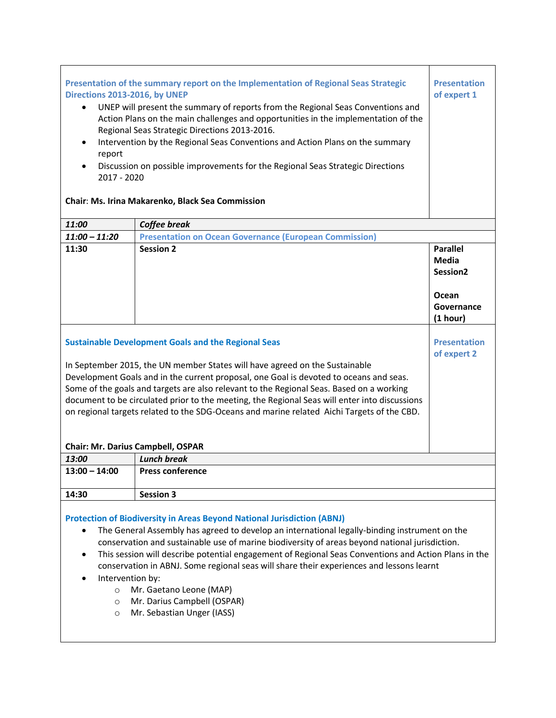| Presentation of the summary report on the Implementation of Regional Seas Strategic<br>Directions 2013-2016, by UNEP<br>UNEP will present the summary of reports from the Regional Seas Conventions and<br>$\bullet$<br>Action Plans on the main challenges and opportunities in the implementation of the<br>Regional Seas Strategic Directions 2013-2016.<br>Intervention by the Regional Seas Conventions and Action Plans on the summary<br>$\bullet$<br>report<br>Discussion on possible improvements for the Regional Seas Strategic Directions<br>$\bullet$<br>2017 - 2020<br>Chair: Ms. Irina Makarenko, Black Sea Commission | <b>Presentation</b><br>of expert 1                            |                                                  |  |  |
|---------------------------------------------------------------------------------------------------------------------------------------------------------------------------------------------------------------------------------------------------------------------------------------------------------------------------------------------------------------------------------------------------------------------------------------------------------------------------------------------------------------------------------------------------------------------------------------------------------------------------------------|---------------------------------------------------------------|--------------------------------------------------|--|--|
| 11:00                                                                                                                                                                                                                                                                                                                                                                                                                                                                                                                                                                                                                                 | Coffee break                                                  |                                                  |  |  |
| $11:00 - 11:20$                                                                                                                                                                                                                                                                                                                                                                                                                                                                                                                                                                                                                       | <b>Presentation on Ocean Governance (European Commission)</b> |                                                  |  |  |
| 11:30                                                                                                                                                                                                                                                                                                                                                                                                                                                                                                                                                                                                                                 | <b>Session 2</b>                                              | <b>Parallel</b><br>Media<br>Session <sub>2</sub> |  |  |
|                                                                                                                                                                                                                                                                                                                                                                                                                                                                                                                                                                                                                                       |                                                               | Ocean<br>Governance<br>(1 hour)                  |  |  |
| <b>Presentation</b><br><b>Sustainable Development Goals and the Regional Seas</b><br>of expert 2                                                                                                                                                                                                                                                                                                                                                                                                                                                                                                                                      |                                                               |                                                  |  |  |
| In September 2015, the UN member States will have agreed on the Sustainable<br>Development Goals and in the current proposal, one Goal is devoted to oceans and seas.                                                                                                                                                                                                                                                                                                                                                                                                                                                                 |                                                               |                                                  |  |  |
| Some of the goals and targets are also relevant to the Regional Seas. Based on a working<br>document to be circulated prior to the meeting, the Regional Seas will enter into discussions<br>on regional targets related to the SDG-Oceans and marine related Aichi Targets of the CBD.                                                                                                                                                                                                                                                                                                                                               |                                                               |                                                  |  |  |
| <b>Chair: Mr. Darius Campbell, OSPAR</b>                                                                                                                                                                                                                                                                                                                                                                                                                                                                                                                                                                                              |                                                               |                                                  |  |  |
| 13:00                                                                                                                                                                                                                                                                                                                                                                                                                                                                                                                                                                                                                                 | <b>Lunch break</b>                                            |                                                  |  |  |
| $13:00 - 14:00$                                                                                                                                                                                                                                                                                                                                                                                                                                                                                                                                                                                                                       | <b>Press conference</b>                                       |                                                  |  |  |
| 14:30<br><b>Session 3</b>                                                                                                                                                                                                                                                                                                                                                                                                                                                                                                                                                                                                             |                                                               |                                                  |  |  |
| <b>Protection of Biodiversity in Areas Beyond National Jurisdiction (ABNJ)</b><br>The General Assembly has agreed to develop an international legally-binding instrument on the<br>$\bullet$                                                                                                                                                                                                                                                                                                                                                                                                                                          |                                                               |                                                  |  |  |

- conservation and sustainable use of marine biodiversity of areas beyond national jurisdiction.
- This session will describe potential engagement of Regional Seas Conventions and Action Plans in the conservation in ABNJ. Some regional seas will share their experiences and lessons learnt
- Intervention by:
	- o Mr. Gaetano Leone (MAP)
	- o Mr. Darius Campbell (OSPAR)
	- o Mr. Sebastian Unger (IASS)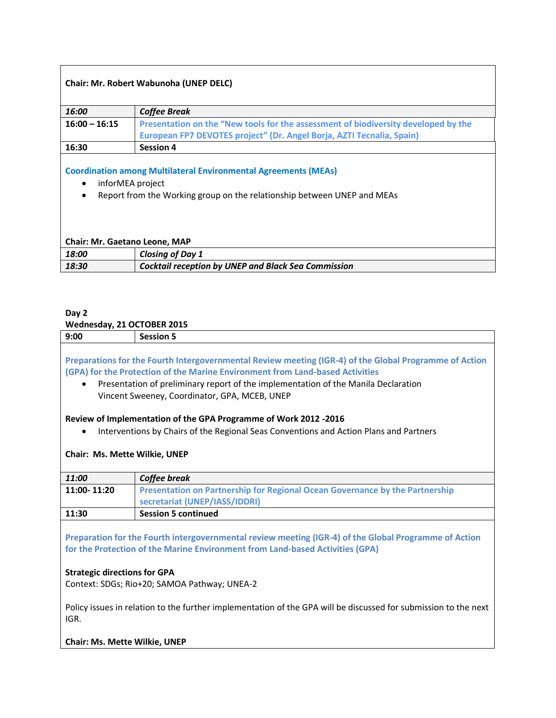| Chair: Mr. Robert Wabunoha (UNEP DELC)                                                                                                                                     |                                                                                    |  |  |  |
|----------------------------------------------------------------------------------------------------------------------------------------------------------------------------|------------------------------------------------------------------------------------|--|--|--|
|                                                                                                                                                                            |                                                                                    |  |  |  |
| 16:00                                                                                                                                                                      | <b>Coffee Break</b>                                                                |  |  |  |
| $16:00 - 16:15$                                                                                                                                                            | Presentation on the "New tools for the assessment of biodiversity developed by the |  |  |  |
|                                                                                                                                                                            | European FP7 DEVOTES project" (Dr. Angel Borja, AZTI Tecnalia, Spain)              |  |  |  |
| 16:30                                                                                                                                                                      | <b>Session 4</b>                                                                   |  |  |  |
| <b>Coordination among Multilateral Environmental Agreements (MEAs)</b><br>inforMEA project<br>٠<br>Report from the Working group on the relationship between UNEP and MEAs |                                                                                    |  |  |  |
| <b>Chair: Mr. Gaetano Leone, MAP</b>                                                                                                                                       |                                                                                    |  |  |  |
| 18:00                                                                                                                                                                      | <b>Closing of Day 1</b>                                                            |  |  |  |
| 18:30                                                                                                                                                                      | Cocktail reception by UNEP and Black Sea Commission                                |  |  |  |

## **Day 2**

## **Wednesday, 21 OCTOBER 2015**

| 9:00                                                                                                                                                                                                                                                                                                                                        | <b>Session 5</b>                                                                                                                                                                                   |  |  |  |
|---------------------------------------------------------------------------------------------------------------------------------------------------------------------------------------------------------------------------------------------------------------------------------------------------------------------------------------------|----------------------------------------------------------------------------------------------------------------------------------------------------------------------------------------------------|--|--|--|
| Preparations for the Fourth Intergovernmental Review meeting (IGR-4) of the Global Programme of Action<br>(GPA) for the Protection of the Marine Environment from Land-based Activities<br>Presentation of preliminary report of the implementation of the Manila Declaration<br>$\bullet$<br>Vincent Sweeney, Coordinator, GPA, MCEB, UNEP |                                                                                                                                                                                                    |  |  |  |
|                                                                                                                                                                                                                                                                                                                                             | Review of Implementation of the GPA Programme of Work 2012 -2016<br>Interventions by Chairs of the Regional Seas Conventions and Action Plans and Partners<br><b>Chair: Ms. Mette Wilkie, UNEP</b> |  |  |  |
| 11:00                                                                                                                                                                                                                                                                                                                                       | Coffee break                                                                                                                                                                                       |  |  |  |
| 11:00-11:20                                                                                                                                                                                                                                                                                                                                 | Presentation on Partnership for Regional Ocean Governance by the Partnership<br>secretariat (UNEP/IASS/IDDRI)                                                                                      |  |  |  |
| 11:30                                                                                                                                                                                                                                                                                                                                       | <b>Session 5 continued</b>                                                                                                                                                                         |  |  |  |
| Preparation for the Fourth intergovernmental review meeting (IGR-4) of the Global Programme of Action<br>for the Protection of the Marine Environment from Land-based Activities (GPA)                                                                                                                                                      |                                                                                                                                                                                                    |  |  |  |

# **Strategic directions for GPA**

Context: SDGs; Rio+20; SAMOA Pathway; UNEA-2

Policy issues in relation to the further implementation of the GPA will be discussed for submission to the next IGR.

## **Chair: Ms. Mette Wilkie, UNEP**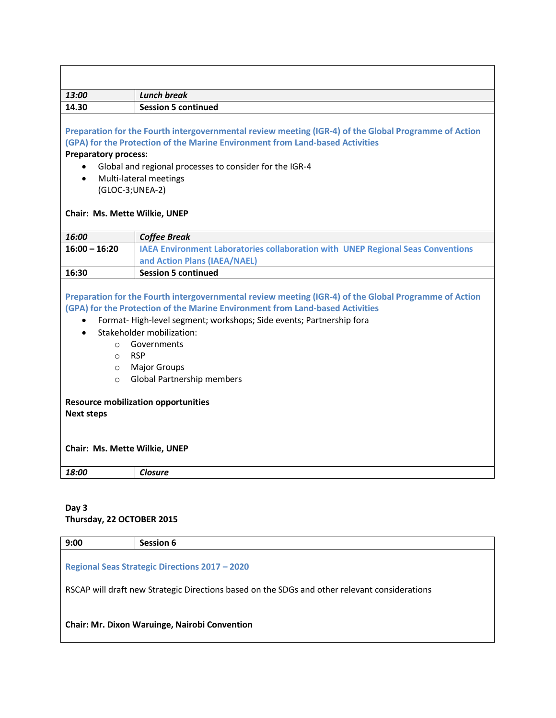| 13:00                                                                                                                                                                                                                                                                                                                                                      | <b>Lunch break</b>                                                                                                                                                                                                                                |  |  |  |
|------------------------------------------------------------------------------------------------------------------------------------------------------------------------------------------------------------------------------------------------------------------------------------------------------------------------------------------------------------|---------------------------------------------------------------------------------------------------------------------------------------------------------------------------------------------------------------------------------------------------|--|--|--|
| 14.30                                                                                                                                                                                                                                                                                                                                                      | <b>Session 5 continued</b>                                                                                                                                                                                                                        |  |  |  |
| <b>Preparatory process:</b>                                                                                                                                                                                                                                                                                                                                | Preparation for the Fourth intergovernmental review meeting (IGR-4) of the Global Programme of Action<br>(GPA) for the Protection of the Marine Environment from Land-based Activities<br>Global and regional processes to consider for the IGR-4 |  |  |  |
| $\bullet$<br>(GLOC-3;UNEA-2)<br>Chair: Ms. Mette Wilkie, UNEP                                                                                                                                                                                                                                                                                              | Multi-lateral meetings                                                                                                                                                                                                                            |  |  |  |
| 16:00                                                                                                                                                                                                                                                                                                                                                      | <b>Coffee Break</b>                                                                                                                                                                                                                               |  |  |  |
| $16:00 - 16:20$                                                                                                                                                                                                                                                                                                                                            | IAEA Environment Laboratories collaboration with UNEP Regional Seas Conventions<br>and Action Plans (IAEA/NAEL)                                                                                                                                   |  |  |  |
| 16:30                                                                                                                                                                                                                                                                                                                                                      | <b>Session 5 continued</b>                                                                                                                                                                                                                        |  |  |  |
| Preparation for the Fourth intergovernmental review meeting (IGR-4) of the Global Programme of Action<br>(GPA) for the Protection of the Marine Environment from Land-based Activities<br>Format-High-level segment; workshops; Side events; Partnership fora<br>$\bullet$<br>Stakeholder mobilization:<br>Governments<br>$\circ$<br><b>RSP</b><br>$\circ$ |                                                                                                                                                                                                                                                   |  |  |  |
| $\circ$                                                                                                                                                                                                                                                                                                                                                    | <b>Major Groups</b>                                                                                                                                                                                                                               |  |  |  |
| Global Partnership members<br>$\Omega$<br><b>Resource mobilization opportunities</b><br><b>Next steps</b><br>Chair: Ms. Mette Wilkie, UNEP                                                                                                                                                                                                                 |                                                                                                                                                                                                                                                   |  |  |  |
| 18:00                                                                                                                                                                                                                                                                                                                                                      | <b>Closure</b>                                                                                                                                                                                                                                    |  |  |  |

# **Day 3 Thursday, 22 OCTOBER 2015**

| 9:00                                                                                          | Session 6 |  |  |  |
|-----------------------------------------------------------------------------------------------|-----------|--|--|--|
| <b>Regional Seas Strategic Directions 2017 - 2020</b>                                         |           |  |  |  |
| RSCAP will draft new Strategic Directions based on the SDGs and other relevant considerations |           |  |  |  |
| <b>Chair: Mr. Dixon Waruinge, Nairobi Convention</b>                                          |           |  |  |  |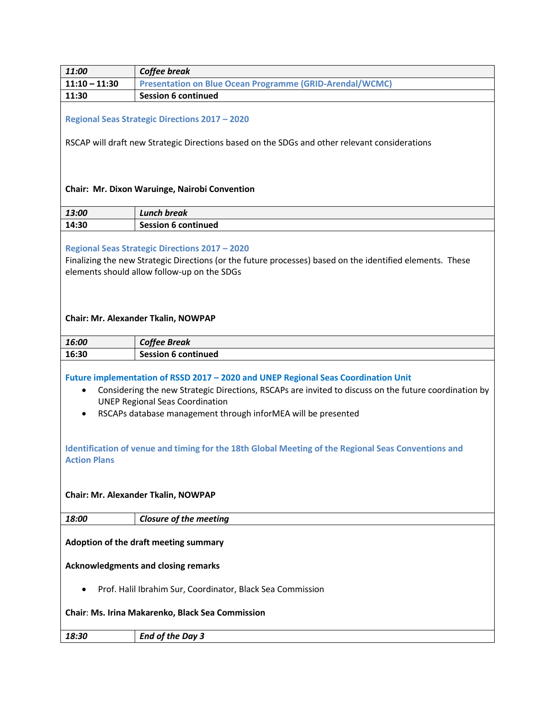| 11:00                                                                                                                                                                                                                                                                                                               | Coffee break                                                                                                                                                                                                      |  |  |
|---------------------------------------------------------------------------------------------------------------------------------------------------------------------------------------------------------------------------------------------------------------------------------------------------------------------|-------------------------------------------------------------------------------------------------------------------------------------------------------------------------------------------------------------------|--|--|
| $11:10 - 11:30$                                                                                                                                                                                                                                                                                                     | <b>Presentation on Blue Ocean Programme (GRID-Arendal/WCMC)</b>                                                                                                                                                   |  |  |
| 11:30                                                                                                                                                                                                                                                                                                               | <b>Session 6 continued</b>                                                                                                                                                                                        |  |  |
| <b>Regional Seas Strategic Directions 2017 - 2020</b><br>RSCAP will draft new Strategic Directions based on the SDGs and other relevant considerations                                                                                                                                                              |                                                                                                                                                                                                                   |  |  |
|                                                                                                                                                                                                                                                                                                                     | Chair: Mr. Dixon Waruinge, Nairobi Convention                                                                                                                                                                     |  |  |
| 13:00                                                                                                                                                                                                                                                                                                               | <b>Lunch break</b>                                                                                                                                                                                                |  |  |
| 14:30                                                                                                                                                                                                                                                                                                               | <b>Session 6 continued</b>                                                                                                                                                                                        |  |  |
|                                                                                                                                                                                                                                                                                                                     | <b>Regional Seas Strategic Directions 2017 - 2020</b><br>Finalizing the new Strategic Directions (or the future processes) based on the identified elements. These<br>elements should allow follow-up on the SDGs |  |  |
|                                                                                                                                                                                                                                                                                                                     | Chair: Mr. Alexander Tkalin, NOWPAP                                                                                                                                                                               |  |  |
| 16:00                                                                                                                                                                                                                                                                                                               | <b>Coffee Break</b>                                                                                                                                                                                               |  |  |
| 16:30                                                                                                                                                                                                                                                                                                               | <b>Session 6 continued</b>                                                                                                                                                                                        |  |  |
| Future implementation of RSSD 2017 - 2020 and UNEP Regional Seas Coordination Unit<br>Considering the new Strategic Directions, RSCAPs are invited to discuss on the future coordination by<br><b>UNEP Regional Seas Coordination</b><br>RSCAPs database management through inforMEA will be presented<br>$\bullet$ |                                                                                                                                                                                                                   |  |  |
| Identification of venue and timing for the 18th Global Meeting of the Regional Seas Conventions and<br><b>Action Plans</b>                                                                                                                                                                                          |                                                                                                                                                                                                                   |  |  |
| Chair: Mr. Alexander Tkalin, NOWPAP                                                                                                                                                                                                                                                                                 |                                                                                                                                                                                                                   |  |  |
| 18:00                                                                                                                                                                                                                                                                                                               | <b>Closure of the meeting</b>                                                                                                                                                                                     |  |  |
| Adoption of the draft meeting summary                                                                                                                                                                                                                                                                               |                                                                                                                                                                                                                   |  |  |
| <b>Acknowledgments and closing remarks</b>                                                                                                                                                                                                                                                                          |                                                                                                                                                                                                                   |  |  |
| Prof. Halil Ibrahim Sur, Coordinator, Black Sea Commission                                                                                                                                                                                                                                                          |                                                                                                                                                                                                                   |  |  |
| Chair: Ms. Irina Makarenko, Black Sea Commission                                                                                                                                                                                                                                                                    |                                                                                                                                                                                                                   |  |  |
| 18:30                                                                                                                                                                                                                                                                                                               | <b>End of the Day 3</b>                                                                                                                                                                                           |  |  |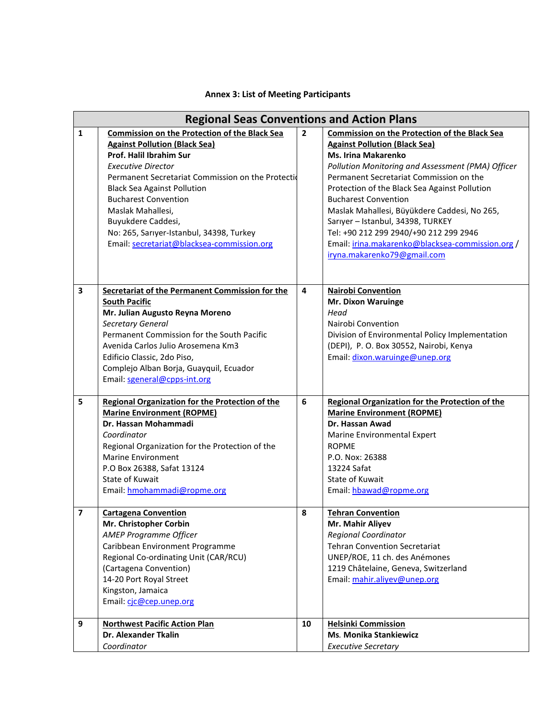|  |  |  |  |  | <b>Annex 3: List of Meeting Participants</b> |
|--|--|--|--|--|----------------------------------------------|
|--|--|--|--|--|----------------------------------------------|

|                         | <b>Regional Seas Conventions and Action Plans</b>                                                                                                                                                                                                                                                                                                                                                                   |                |                                                                                                                                                                                                                                                                                                                                                                                                                                                                                                                              |  |  |  |
|-------------------------|---------------------------------------------------------------------------------------------------------------------------------------------------------------------------------------------------------------------------------------------------------------------------------------------------------------------------------------------------------------------------------------------------------------------|----------------|------------------------------------------------------------------------------------------------------------------------------------------------------------------------------------------------------------------------------------------------------------------------------------------------------------------------------------------------------------------------------------------------------------------------------------------------------------------------------------------------------------------------------|--|--|--|
| $\mathbf{1}$            | <b>Commission on the Protection of the Black Sea</b><br><b>Against Pollution (Black Sea)</b><br>Prof. Halil Ibrahim Sur<br><b>Executive Director</b><br>Permanent Secretariat Commission on the Protectid<br><b>Black Sea Against Pollution</b><br><b>Bucharest Convention</b><br>Maslak Mahallesi,<br>Buyukdere Caddesi,<br>No: 265, Sarıyer-Istanbul, 34398, Turkey<br>Email: secretariat@blacksea-commission.org | $\overline{2}$ | <b>Commission on the Protection of the Black Sea</b><br><b>Against Pollution (Black Sea)</b><br><b>Ms. Irina Makarenko</b><br>Pollution Monitoring and Assessment (PMA) Officer<br>Permanent Secretariat Commission on the<br>Protection of the Black Sea Against Pollution<br><b>Bucharest Convention</b><br>Maslak Mahallesi, Büyükdere Caddesi, No 265,<br>Sarıyer - Istanbul, 34398, TURKEY<br>Tel: +90 212 299 2940/+90 212 299 2946<br>Email: irina.makarenko@blacksea-commission.org /<br>iryna.makarenko79@gmail.com |  |  |  |
| $\overline{\mathbf{3}}$ | Secretariat of the Permanent Commission for the<br><b>South Pacific</b><br>Mr. Julian Augusto Reyna Moreno<br>Secretary General<br>Permanent Commission for the South Pacific<br>Avenida Carlos Julio Arosemena Km3<br>Edificio Classic, 2do Piso,<br>Complejo Alban Borja, Guayquil, Ecuador<br>Email: sgeneral@cpps-int.org                                                                                       | 4              | <b>Nairobi Convention</b><br><b>Mr. Dixon Waruinge</b><br>Head<br>Nairobi Convention<br>Division of Environmental Policy Implementation<br>(DEPI), P. O. Box 30552, Nairobi, Kenya<br>Email: dixon.waruinge@unep.org                                                                                                                                                                                                                                                                                                         |  |  |  |
| 5                       | Regional Organization for the Protection of the<br><b>Marine Environment (ROPME)</b><br>Dr. Hassan Mohammadi<br>Coordinator<br>Regional Organization for the Protection of the<br><b>Marine Environment</b><br>P.O Box 26388, Safat 13124<br>State of Kuwait<br>Email: hmohammadi@ropme.org                                                                                                                         | 6              | Regional Organization for the Protection of the<br><b>Marine Environment (ROPME)</b><br>Dr. Hassan Awad<br>Marine Environmental Expert<br><b>ROPME</b><br>P.O. Nox: 26388<br>13224 Safat<br>State of Kuwait<br>Email: hbawad@ropme.org                                                                                                                                                                                                                                                                                       |  |  |  |
| $\overline{\mathbf{z}}$ | <b>Cartagena Convention</b><br>Mr. Christopher Corbin<br><b>AMEP Programme Officer</b><br>Caribbean Environment Programme<br>Regional Co-ordinating Unit (CAR/RCU)<br>(Cartagena Convention)<br>14-20 Port Royal Street<br>Kingston, Jamaica<br>Email: cjc@cep.unep.org                                                                                                                                             | 8              | <b>Tehran Convention</b><br>Mr. Mahir Aliyev<br><b>Regional Coordinator</b><br><b>Tehran Convention Secretariat</b><br>UNEP/ROE, 11 ch. des Anémones<br>1219 Châtelaine, Geneva, Switzerland<br>Email: mahir.aliyev@unep.org                                                                                                                                                                                                                                                                                                 |  |  |  |
| 9                       | <b>Northwest Pacific Action Plan</b><br><b>Dr. Alexander Tkalin</b><br>Coordinator                                                                                                                                                                                                                                                                                                                                  | 10             | <b>Helsinki Commission</b><br><b>Ms. Monika Stankiewicz</b><br><b>Executive Secretary</b>                                                                                                                                                                                                                                                                                                                                                                                                                                    |  |  |  |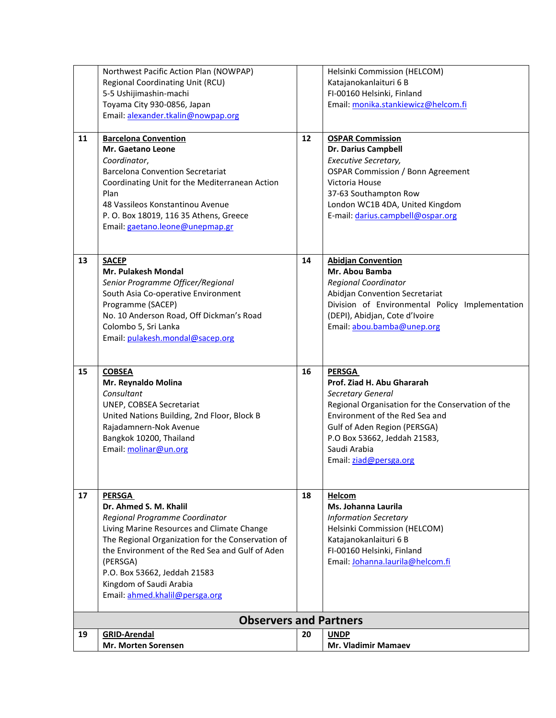| 19 | <b>GRID-Arendal</b><br>Mr. Morten Sorensen                                                                                                                                                                                                                                                                                               | 20 | <b>UNDP</b><br>Mr. Vladimir Mamaev                                                                                                                                                                                                                                       |
|----|------------------------------------------------------------------------------------------------------------------------------------------------------------------------------------------------------------------------------------------------------------------------------------------------------------------------------------------|----|--------------------------------------------------------------------------------------------------------------------------------------------------------------------------------------------------------------------------------------------------------------------------|
|    | <b>Observers and Partners</b>                                                                                                                                                                                                                                                                                                            |    |                                                                                                                                                                                                                                                                          |
| 17 | <b>PERSGA</b><br>Dr. Ahmed S. M. Khalil<br>Regional Programme Coordinator<br>Living Marine Resources and Climate Change<br>The Regional Organization for the Conservation of<br>the Environment of the Red Sea and Gulf of Aden<br>(PERSGA)<br>P.O. Box 53662, Jeddah 21583<br>Kingdom of Saudi Arabia<br>Email: ahmed.khalil@persga.org | 18 | Helcom<br>Ms. Johanna Laurila<br><b>Information Secretary</b><br>Helsinki Commission (HELCOM)<br>Katajanokanlaituri 6 B<br>FI-00160 Helsinki, Finland<br>Email: Johanna.laurila@helcom.fi                                                                                |
| 15 | <b>COBSEA</b><br>Mr. Reynaldo Molina<br>Consultant<br>UNEP, COBSEA Secretariat<br>United Nations Building, 2nd Floor, Block B<br>Rajadamnern-Nok Avenue<br>Bangkok 10200, Thailand<br>Email: molinar@un.org                                                                                                                              | 16 | <b>PERSGA</b><br>Prof. Ziad H. Abu Ghararah<br><b>Secretary General</b><br>Regional Organisation for the Conservation of the<br>Environment of the Red Sea and<br>Gulf of Aden Region (PERSGA)<br>P.O Box 53662, Jeddah 21583,<br>Saudi Arabia<br>Email: ziad@persga.org |
| 13 | <b>SACEP</b><br><b>Mr. Pulakesh Mondal</b><br>Senior Programme Officer/Regional<br>South Asia Co-operative Environment<br>Programme (SACEP)<br>No. 10 Anderson Road, Off Dickman's Road<br>Colombo 5, Sri Lanka<br>Email: pulakesh.mondal@sacep.org                                                                                      | 14 | <b>Abidjan Convention</b><br>Mr. Abou Bamba<br><b>Regional Coordinator</b><br>Abidjan Convention Secretariat<br>Division of Environmental Policy Implementation<br>(DEPI), Abidjan, Cote d'Ivoire<br>Email: abou.bamba@unep.org                                          |
| 11 | <b>Barcelona Convention</b><br>Mr. Gaetano Leone<br>Coordinator,<br><b>Barcelona Convention Secretariat</b><br>Coordinating Unit for the Mediterranean Action<br>Plan<br>48 Vassileos Konstantinou Avenue<br>P. O. Box 18019, 116 35 Athens, Greece<br>Email: gaetano.leone@unepmap.gr                                                   | 12 | <b>OSPAR Commission</b><br><b>Dr. Darius Campbell</b><br>Executive Secretary,<br><b>OSPAR Commission / Bonn Agreement</b><br>Victoria House<br>37-63 Southampton Row<br>London WC1B 4DA, United Kingdom<br>E-mail: darius.campbell@ospar.org                             |
|    | Northwest Pacific Action Plan (NOWPAP)<br>Regional Coordinating Unit (RCU)<br>5-5 Ushijimashin-machi<br>Toyama City 930-0856, Japan<br>Email: alexander.tkalin@nowpap.org                                                                                                                                                                |    | Helsinki Commission (HELCOM)<br>Katajanokanlaituri 6 B<br>FI-00160 Helsinki, Finland<br>Email: monika.stankiewicz@helcom.fi                                                                                                                                              |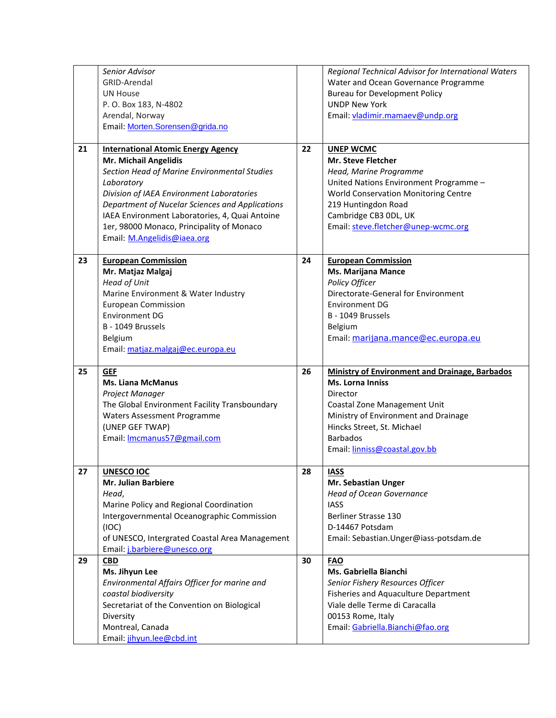|    | Senior Advisor<br>GRID-Arendal<br><b>UN House</b><br>P. O. Box 183, N-4802<br>Arendal, Norway<br>Email: Morten.Sorensen@grida.no                                                                                                                                                                                                                               |          | Regional Technical Advisor for International Waters<br>Water and Ocean Governance Programme<br><b>Bureau for Development Policy</b><br><b>UNDP New York</b><br>Email: vladimir.mamaev@undp.org                                                   |
|----|----------------------------------------------------------------------------------------------------------------------------------------------------------------------------------------------------------------------------------------------------------------------------------------------------------------------------------------------------------------|----------|--------------------------------------------------------------------------------------------------------------------------------------------------------------------------------------------------------------------------------------------------|
| 21 | <b>International Atomic Energy Agency</b><br>Mr. Michail Angelidis<br>Section Head of Marine Environmental Studies<br>Laboratory<br>Division of IAEA Environment Laboratories<br>Department of Nucelar Sciences and Applications<br>IAEA Environment Laboratories, 4, Quai Antoine<br>1er, 98000 Monaco, Principality of Monaco<br>Email: M.Angelidis@iaea.org | 22       | <b>UNEP WCMC</b><br><b>Mr. Steve Fletcher</b><br>Head, Marine Programme<br>United Nations Environment Programme -<br>World Conservation Monitoring Centre<br>219 Huntingdon Road<br>Cambridge CB3 ODL, UK<br>Email: steve.fletcher@unep-wcmc.org |
| 23 | <b>European Commission</b><br>Mr. Matjaz Malgaj<br><b>Head of Unit</b><br>Marine Environment & Water Industry<br><b>European Commission</b><br><b>Environment DG</b><br>B - 1049 Brussels<br>Belgium<br>Email: matjaz.malgaj@ec.europa.eu                                                                                                                      | 24       | <b>European Commission</b><br>Ms. Marijana Mance<br>Policy Officer<br>Directorate-General for Environment<br><b>Environment DG</b><br>B - 1049 Brussels<br>Belgium<br>Email: marijana.mance@ec.europa.eu                                         |
| 25 | <b>GEF</b><br><b>Ms. Liana McManus</b><br>Project Manager<br>The Global Environment Facility Transboundary<br>Waters Assessment Programme<br>(UNEP GEF TWAP)<br>Email: Imcmanus57@gmail.com                                                                                                                                                                    | 26       | <b>Ministry of Environment and Drainage, Barbados</b><br>Ms. Lorna Inniss<br>Director<br>Coastal Zone Management Unit<br>Ministry of Environment and Drainage<br>Hincks Street, St. Michael<br><b>Barbados</b><br>Email: linniss@coastal.gov.bb  |
| 27 |                                                                                                                                                                                                                                                                                                                                                                |          |                                                                                                                                                                                                                                                  |
|    | <b>UNESCO IOC</b><br>Mr. Julian Barbiere<br>Head,<br>Marine Policy and Regional Coordination<br>Intergovernmental Oceanographic Commission<br>(IOC)<br>of UNESCO, Intergrated Coastal Area Management<br>Email: j.barbiere@unesco.org                                                                                                                          | 28<br>30 | <b>IASS</b><br>Mr. Sebastian Unger<br><b>Head of Ocean Governance</b><br><b>IASS</b><br>Berliner Strasse 130<br>D-14467 Potsdam<br>Email: Sebastian. Unger@iass-potsdam.de                                                                       |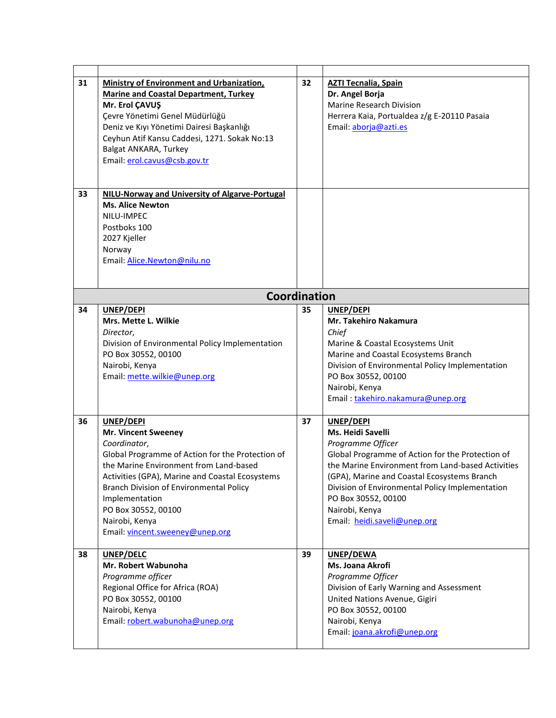| 31 | <b>Ministry of Environment and Urbanization,</b>                                                                                                                                                                                                                                                                                                         | 32 | <b>AZTI Tecnalia, Spain</b>                                                                                                                                                                                                                                                                                                             |
|----|----------------------------------------------------------------------------------------------------------------------------------------------------------------------------------------------------------------------------------------------------------------------------------------------------------------------------------------------------------|----|-----------------------------------------------------------------------------------------------------------------------------------------------------------------------------------------------------------------------------------------------------------------------------------------------------------------------------------------|
| 33 | <b>Marine and Coastal Department, Turkey</b><br>Mr. Erol ÇAVUŞ<br>Çevre Yönetimi Genel Müdürlüğü<br>Deniz ve Kıyı Yönetimi Dairesi Başkanlığı<br>Ceyhun Atif Kansu Caddesi, 1271. Sokak No:13<br>Balgat ANKARA, Turkey<br>Email: erol.cavus@csb.gov.tr<br>NILU-Norway and University of Algarve-Portugal                                                 |    | Dr. Angel Borja<br>Marine Research Division<br>Herrera Kaia, Portualdea z/g E-20110 Pasaia<br>Email: aborja@azti.es                                                                                                                                                                                                                     |
|    | <b>Ms. Alice Newton</b><br>NILU-IMPEC<br>Postboks 100<br>2027 Kjeller<br>Norway<br>Email: Alice.Newton@nilu.no                                                                                                                                                                                                                                           |    |                                                                                                                                                                                                                                                                                                                                         |
|    | <b>Coordination</b>                                                                                                                                                                                                                                                                                                                                      |    |                                                                                                                                                                                                                                                                                                                                         |
| 34 | UNEP/DEPI<br>Mrs. Mette L. Wilkie<br>Director,<br>Division of Environmental Policy Implementation<br>PO Box 30552, 00100<br>Nairobi, Kenya<br>Email: mette.wilkie@unep.org                                                                                                                                                                               | 35 | UNEP/DEPI<br>Mr. Takehiro Nakamura<br>Chief<br>Marine & Coastal Ecosystems Unit<br>Marine and Coastal Ecosystems Branch<br>Division of Environmental Policy Implementation<br>PO Box 30552, 00100<br>Nairobi, Kenya<br>Email: takehiro.nakamura@unep.org                                                                                |
| 36 | UNEP/DEPI<br><b>Mr. Vincent Sweeney</b><br>Coordinator,<br>Global Programme of Action for the Protection of<br>the Marine Environment from Land-based<br>Activities (GPA), Marine and Coastal Ecosystems<br><b>Branch Division of Environmental Policy</b><br>Implementation<br>PO Box 30552, 00100<br>Nairobi, Kenya<br>Email: vincent.sweeney@unep.org | 37 | UNEP/DEPI<br>Ms. Heidi Savelli<br>Programme Officer<br>Global Programme of Action for the Protection of<br>the Marine Environment from Land-based Activities<br>(GPA), Marine and Coastal Ecosystems Branch<br>Division of Environmental Policy Implementation<br>PO Box 30552, 00100<br>Nairobi, Kenya<br>Email: heidi.saveli@unep.org |
| 38 | UNEP/DELC<br>Mr. Robert Wabunoha<br>Programme officer<br>Regional Office for Africa (ROA)<br>PO Box 30552, 00100<br>Nairobi, Kenya<br>Email: robert.wabunoha@unep.org                                                                                                                                                                                    | 39 | UNEP/DEWA<br>Ms. Joana Akrofi<br>Programme Officer<br>Division of Early Warning and Assessment<br>United Nations Avenue, Gigiri<br>PO Box 30552, 00100<br>Nairobi, Kenya<br>Email: joana.akrofi@unep.org                                                                                                                                |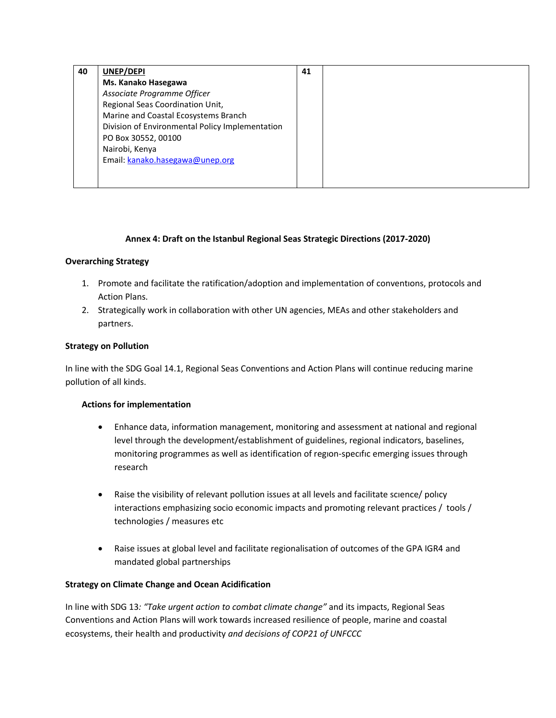| 40 | UNEP/DEPI                                       | 41 |  |
|----|-------------------------------------------------|----|--|
|    | Ms. Kanako Hasegawa                             |    |  |
|    | Associate Programme Officer                     |    |  |
|    | Regional Seas Coordination Unit,                |    |  |
|    | Marine and Coastal Ecosystems Branch            |    |  |
|    | Division of Environmental Policy Implementation |    |  |
|    | PO Box 30552, 00100                             |    |  |
|    | Nairobi, Kenya                                  |    |  |
|    | Email: kanako.hasegawa@unep.org                 |    |  |
|    |                                                 |    |  |
|    |                                                 |    |  |

## **Annex 4: Draft on the Istanbul Regional Seas Strategic Directions (2017-2020)**

#### **Overarching Strategy**

- 1. Promote and facilitate the ratification/adoption and implementation of conventıons, protocols and Action Plans.
- 2. Strategically work in collaboration with other UN agencies, MEAs and other stakeholders and partners.

### **Strategy on Pollution**

In line with the SDG Goal 14.1, Regional Seas Conventions and Action Plans will continue reducing marine pollution of all kinds.

#### **Actions for implementation**

- Enhance data, information management, monitoring and assessment at national and regional level through the development/establishment of guidelines, regional indicators, baselines, monitoring programmes as well as identification of regıon-specıfıc emerging issues through research
- Raise the visibility of relevant pollution issues at all levels and facilitate scıence/ polıcy interactions emphasizing socio economic impacts and promoting relevant practices / tools / technologies / measures etc
- Raise issues at global level and facilitate regionalisation of outcomes of the GPA IGR4 and mandated global partnerships

#### **Strategy on Climate Change and Ocean Acidification**

In line with SDG 13*: "Take urgent action to combat climate change"* and its impacts, Regional Seas Conventions and Action Plans will work towards increased resilience of people, marine and coastal ecosystems, their health and productivity *and decisions of COP21 of UNFCCC*